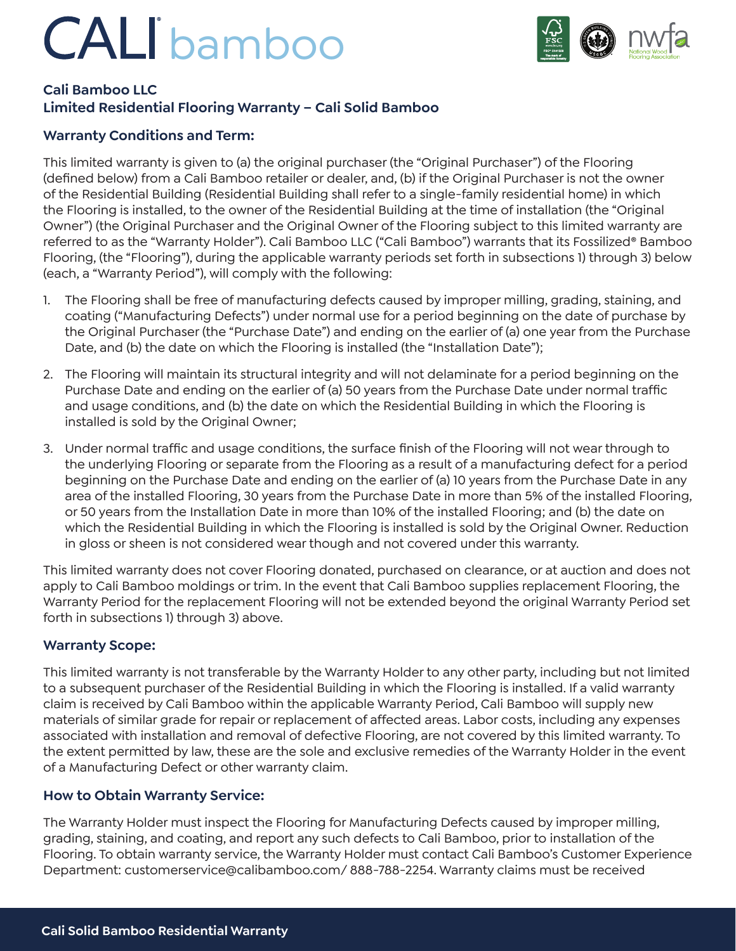# CALI bamboo



#### **Cali Bamboo LLC Limited Residential Flooring Warranty – Cali Solid Bamboo**

### **Warranty Conditions and Term:**

This limited warranty is given to (a) the original purchaser (the "Original Purchaser") of the Flooring (defined below) from a Cali Bamboo retailer or dealer, and, (b) if the Original Purchaser is not the owner of the Residential Building (Residential Building shall refer to a single-family residential home) in which the Flooring is installed, to the owner of the Residential Building at the time of installation (the "Original Owner") (the Original Purchaser and the Original Owner of the Flooring subject to this limited warranty are referred to as the "Warranty Holder"). Cali Bamboo LLC ("Cali Bamboo") warrants that its Fossilized® Bamboo Flooring, (the "Flooring"), during the applicable warranty periods set forth in subsections 1) through 3) below (each, a "Warranty Period"), will comply with the following:

- 1. The Flooring shall be free of manufacturing defects caused by improper milling, grading, staining, and coating ("Manufacturing Defects") under normal use for a period beginning on the date of purchase by the Original Purchaser (the "Purchase Date") and ending on the earlier of (a) one year from the Purchase Date, and (b) the date on which the Flooring is installed (the "Installation Date");
- 2. The Flooring will maintain its structural integrity and will not delaminate for a period beginning on the Purchase Date and ending on the earlier of (a) 50 years from the Purchase Date under normal traffic and usage conditions, and (b) the date on which the Residential Building in which the Flooring is installed is sold by the Original Owner;
- 3. Under normal traffic and usage conditions, the surface finish of the Flooring will not wear through to the underlying Flooring or separate from the Flooring as a result of a manufacturing defect for a period beginning on the Purchase Date and ending on the earlier of (a) 10 years from the Purchase Date in any area of the installed Flooring, 30 years from the Purchase Date in more than 5% of the installed Flooring, or 50 years from the Installation Date in more than 10% of the installed Flooring; and (b) the date on which the Residential Building in which the Flooring is installed is sold by the Original Owner. Reduction in gloss or sheen is not considered wear though and not covered under this warranty.

This limited warranty does not cover Flooring donated, purchased on clearance, or at auction and does not apply to Cali Bamboo moldings or trim. In the event that Cali Bamboo supplies replacement Flooring, the Warranty Period for the replacement Flooring will not be extended beyond the original Warranty Period set forth in subsections 1) through 3) above.

#### **Warranty Scope:**

This limited warranty is not transferable by the Warranty Holder to any other party, including but not limited to a subsequent purchaser of the Residential Building in which the Flooring is installed. If a valid warranty claim is received by Cali Bamboo within the applicable Warranty Period, Cali Bamboo will supply new materials of similar grade for repair or replacement of affected areas. Labor costs, including any expenses associated with installation and removal of defective Flooring, are not covered by this limited warranty. To the extent permitted by law, these are the sole and exclusive remedies of the Warranty Holder in the event of a Manufacturing Defect or other warranty claim.

#### **How to Obtain Warranty Service:**

The Warranty Holder must inspect the Flooring for Manufacturing Defects caused by improper milling, grading, staining, and coating, and report any such defects to Cali Bamboo, prior to installation of the Flooring. To obtain warranty service, the Warranty Holder must contact Cali Bamboo's Customer Experience Department: customerservice@calibamboo.com/ 888-788-2254. Warranty claims must be received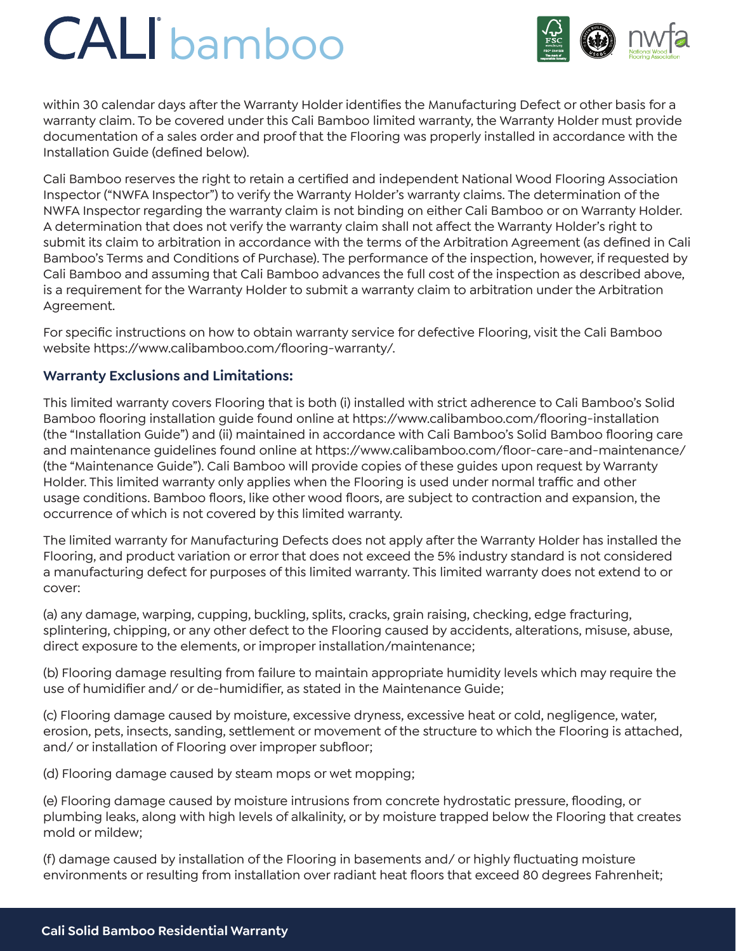# CALI bamboo



within 30 calendar days after the Warranty Holder identifies the Manufacturing Defect or other basis for a warranty claim. To be covered under this Cali Bamboo limited warranty, the Warranty Holder must provide documentation of a sales order and proof that the Flooring was properly installed in accordance with the Installation Guide (defined below).

Cali Bamboo reserves the right to retain a certified and independent National Wood Flooring Association Inspector ("NWFA Inspector") to verify the Warranty Holder's warranty claims. The determination of the NWFA Inspector regarding the warranty claim is not binding on either Cali Bamboo or on Warranty Holder. A determination that does not verify the warranty claim shall not affect the Warranty Holder's right to submit its claim to arbitration in accordance with the terms of the Arbitration Agreement (as defined in Cali Bamboo's Terms and Conditions of Purchase). The performance of the inspection, however, if requested by Cali Bamboo and assuming that Cali Bamboo advances the full cost of the inspection as described above, is a requirement for the Warranty Holder to submit a warranty claim to arbitration under the Arbitration Agreement.

For specific instructions on how to obtain warranty service for defective Flooring, visit the Cali Bamboo website https://www.calibamboo.com/flooring-warranty/.

#### **Warranty Exclusions and Limitations:**

This limited warranty covers Flooring that is both (i) installed with strict adherence to Cali Bamboo's Solid Bamboo flooring installation guide found online at https://www.calibamboo.com/flooring-installation (the "Installation Guide") and (ii) maintained in accordance with Cali Bamboo's Solid Bamboo flooring care and maintenance guidelines found online at https://www.calibamboo.com/floor-care-and-maintenance/ (the "Maintenance Guide"). Cali Bamboo will provide copies of these guides upon request by Warranty Holder. This limited warranty only applies when the Flooring is used under normal traffic and other usage conditions. Bamboo floors, like other wood floors, are subject to contraction and expansion, the occurrence of which is not covered by this limited warranty.

The limited warranty for Manufacturing Defects does not apply after the Warranty Holder has installed the Flooring, and product variation or error that does not exceed the 5% industry standard is not considered a manufacturing defect for purposes of this limited warranty. This limited warranty does not extend to or cover:

(a) any damage, warping, cupping, buckling, splits, cracks, grain raising, checking, edge fracturing, splintering, chipping, or any other defect to the Flooring caused by accidents, alterations, misuse, abuse, direct exposure to the elements, or improper installation/maintenance;

(b) Flooring damage resulting from failure to maintain appropriate humidity levels which may require the use of humidifier and/ or de-humidifier, as stated in the Maintenance Guide;

(c) Flooring damage caused by moisture, excessive dryness, excessive heat or cold, negligence, water, erosion, pets, insects, sanding, settlement or movement of the structure to which the Flooring is attached, and/ or installation of Flooring over improper subfloor;

(d) Flooring damage caused by steam mops or wet mopping;

(e) Flooring damage caused by moisture intrusions from concrete hydrostatic pressure, flooding, or plumbing leaks, along with high levels of alkalinity, or by moisture trapped below the Flooring that creates mold or mildew;

(f) damage caused by installation of the Flooring in basements and/ or highly fluctuating moisture environments or resulting from installation over radiant heat floors that exceed 80 degrees Fahrenheit;